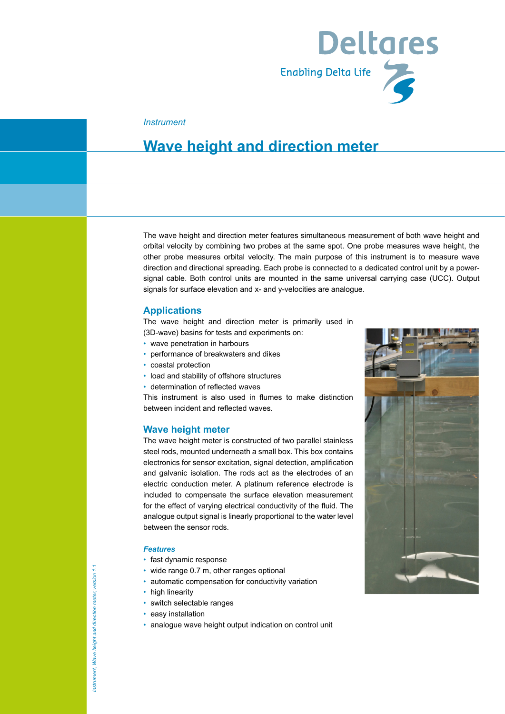

#### *Instrument*

### **Wave height and direction meter**

The wave height and direction meter features simultaneous measurement of both wave height and orbital velocity by combining two probes at the same spot. One probe measures wave height, the other probe measures orbital velocity. The main purpose of this instrument is to measure wave direction and directional spreading. Each probe is connected to a dedicated control unit by a powersignal cable. Both control units are mounted in the same universal carrying case (UCC). Output signals for surface elevation and x- and y-velocities are analogue.

#### **Applications**

The wave height and direction meter is primarily used in (3D-wave) basins for tests and experiments on:

- wave penetration in harbours
- performance of breakwaters and dikes
- coastal protection
- load and stability of offshore structures
- determination of reflected waves

This instrument is also used in flumes to make distinction between incident and reflected waves.

#### **Wave height meter**

The wave height meter is constructed of two parallel stainless steel rods, mounted underneath a small box. This box contains electronics for sensor excitation, signal detection, amplification and galvanic isolation. The rods act as the electrodes of an electric conduction meter. A platinum reference electrode is included to compensate the surface elevation measurement for the effect of varying electrical conductivity of the fluid. The analogue output signal is linearly proportional to the water level between the sensor rods.

#### *Features*

- fast dynamic response
- wide range 0.7 m, other ranges optional
- automatic compensation for conductivity variation
- high linearity
- switch selectable ranges
- easy installation
- analogue wave height output indication on control unit